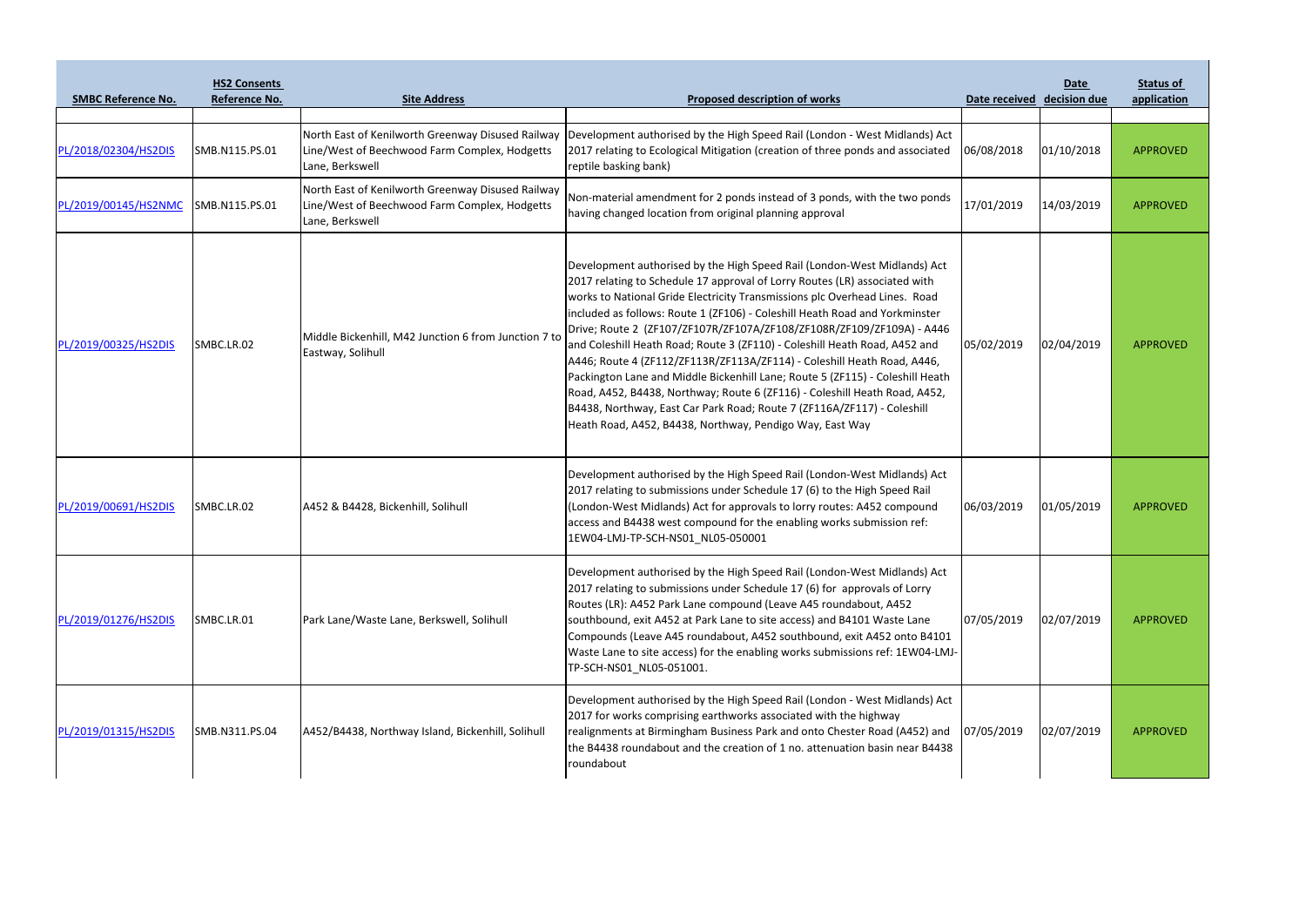| <b>SMBC Reference No.</b> | <b>HS2 Consents</b><br>Reference No. | <b>Site Address</b>                                                                                                   | Proposed description of works                                                                                                                                                                                                                                                                                                                                                                                                                                                                                                                                                                                                                                                                                                                                                                                                                               | Date received decision due | Date       | <b>Status of</b><br>application |
|---------------------------|--------------------------------------|-----------------------------------------------------------------------------------------------------------------------|-------------------------------------------------------------------------------------------------------------------------------------------------------------------------------------------------------------------------------------------------------------------------------------------------------------------------------------------------------------------------------------------------------------------------------------------------------------------------------------------------------------------------------------------------------------------------------------------------------------------------------------------------------------------------------------------------------------------------------------------------------------------------------------------------------------------------------------------------------------|----------------------------|------------|---------------------------------|
| PL/2018/02304/HS2DIS      | SMB.N115.PS.01                       | North East of Kenilworth Greenway Disused Railway<br>Line/West of Beechwood Farm Complex, Hodgetts<br>Lane, Berkswell | Development authorised by the High Speed Rail (London - West Midlands) Act<br>2017 relating to Ecological Mitigation (creation of three ponds and associated<br>reptile basking bank)                                                                                                                                                                                                                                                                                                                                                                                                                                                                                                                                                                                                                                                                       | 06/08/2018                 | 01/10/2018 | <b>APPROVED</b>                 |
| PL/2019/00145/HS2NMC      | SMB.N115.PS.01                       | North East of Kenilworth Greenway Disused Railway<br>Line/West of Beechwood Farm Complex, Hodgetts<br>Lane, Berkswell | Non-material amendment for 2 ponds instead of 3 ponds, with the two ponds<br>having changed location from original planning approval                                                                                                                                                                                                                                                                                                                                                                                                                                                                                                                                                                                                                                                                                                                        | 17/01/2019                 | 14/03/2019 | <b>APPROVED</b>                 |
| PL/2019/00325/HS2DIS      | SMBC.LR.02                           | Middle Bickenhill, M42 Junction 6 from Junction 7 to<br>Eastway, Solihull                                             | Development authorised by the High Speed Rail (London-West Midlands) Act<br>2017 relating to Schedule 17 approval of Lorry Routes (LR) associated with<br>works to National Gride Electricity Transmissions plc Overhead Lines. Road<br>included as follows: Route 1 (ZF106) - Coleshill Heath Road and Yorkminster<br>Drive; Route 2 (ZF107/ZF107R/ZF107A/ZF108/ZF108R/ZF109/ZF109A) - A446<br>and Coleshill Heath Road; Route 3 (ZF110) - Coleshill Heath Road, A452 and<br>A446; Route 4 (ZF112/ZF113R/ZF113A/ZF114) - Coleshill Heath Road, A446,<br>Packington Lane and Middle Bickenhill Lane; Route 5 (ZF115) - Coleshill Heath<br>Road, A452, B4438, Northway; Route 6 (ZF116) - Coleshill Heath Road, A452,<br>B4438, Northway, East Car Park Road; Route 7 (ZF116A/ZF117) - Coleshill<br>Heath Road, A452, B4438, Northway, Pendigo Way, East Way | 05/02/2019                 | 02/04/2019 | <b>APPROVED</b>                 |
| PL/2019/00691/HS2DIS      | SMBC.LR.02                           | A452 & B4428, Bickenhill, Solihull                                                                                    | Development authorised by the High Speed Rail (London-West Midlands) Act<br>2017 relating to submissions under Schedule 17 (6) to the High Speed Rail<br>(London-West Midlands) Act for approvals to lorry routes: A452 compound<br>access and B4438 west compound for the enabling works submission ref:<br>1EW04-LMJ-TP-SCH-NS01_NL05-050001                                                                                                                                                                                                                                                                                                                                                                                                                                                                                                              | 06/03/2019                 | 01/05/2019 | <b>APPROVED</b>                 |
| PL/2019/01276/HS2DIS      | SMBC.LR.01                           | Park Lane/Waste Lane, Berkswell, Solihull                                                                             | Development authorised by the High Speed Rail (London-West Midlands) Act<br>2017 relating to submissions under Schedule 17 (6) for approvals of Lorry<br>Routes (LR): A452 Park Lane compound (Leave A45 roundabout, A452<br>southbound, exit A452 at Park Lane to site access) and B4101 Waste Lane<br>Compounds (Leave A45 roundabout, A452 southbound, exit A452 onto B4101<br>Waste Lane to site access) for the enabling works submissions ref: 1EW04-LMJ-<br>TP-SCH-NS01_NL05-051001.                                                                                                                                                                                                                                                                                                                                                                 | 07/05/2019                 | 02/07/2019 | <b>APPROVED</b>                 |
| PL/2019/01315/HS2DIS      | SMB.N311.PS.04                       | A452/B4438, Northway Island, Bickenhill, Solihull                                                                     | Development authorised by the High Speed Rail (London - West Midlands) Act<br>2017 for works comprising earthworks associated with the highway<br>realignments at Birmingham Business Park and onto Chester Road (A452) and<br>the B4438 roundabout and the creation of 1 no. attenuation basin near B4438<br>roundabout                                                                                                                                                                                                                                                                                                                                                                                                                                                                                                                                    | 07/05/2019                 | 02/07/2019 | <b>APPROVED</b>                 |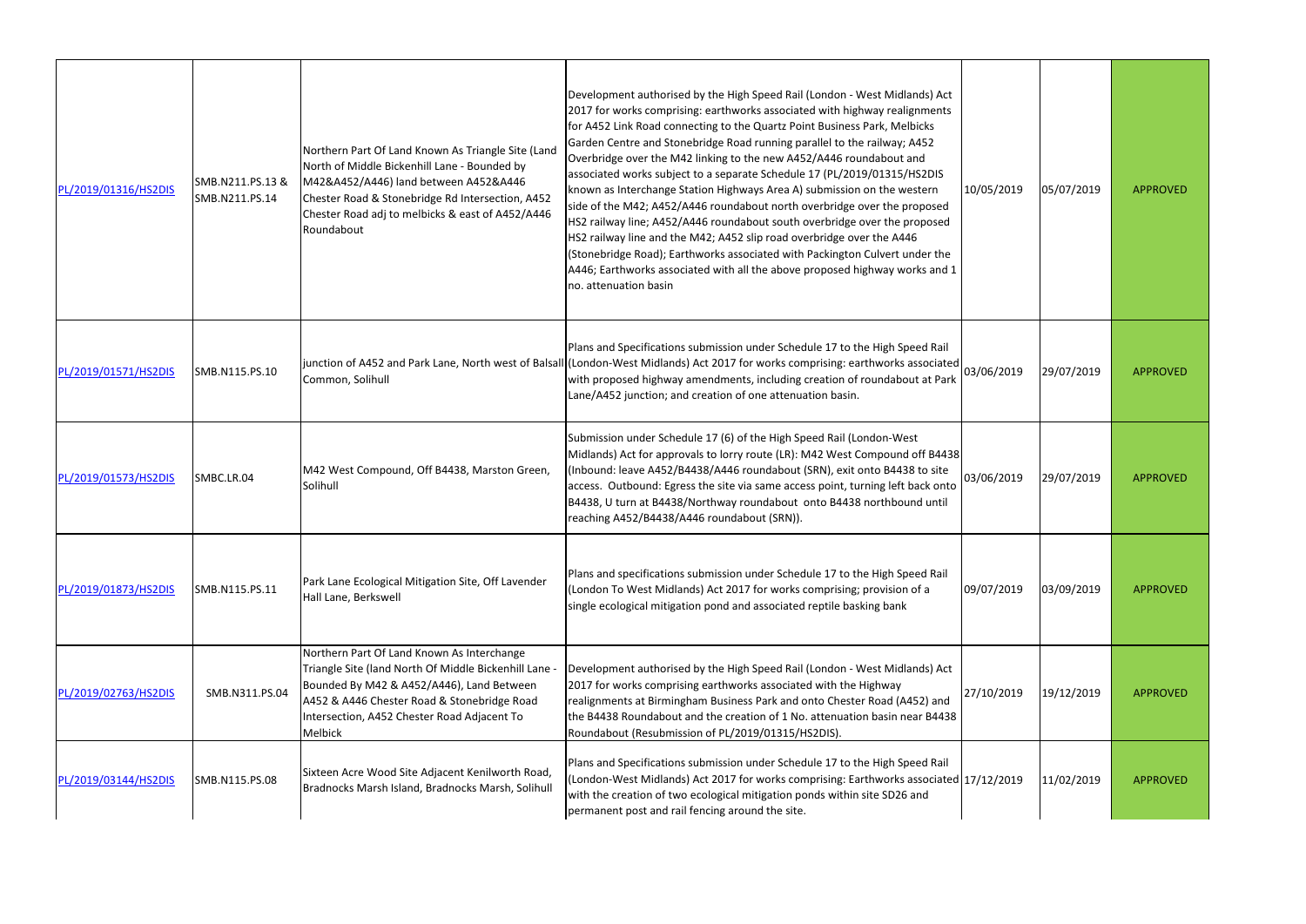| PL/2019/01316/HS2DIS | SMB.N211.PS.13 &<br>SMB.N211.PS.14 | Northern Part Of Land Known As Triangle Site (Land<br>North of Middle Bickenhill Lane - Bounded by<br>M42&A452/A446) land between A452&A446<br>Chester Road & Stonebridge Rd Intersection, A452<br>Chester Road adj to melbicks & east of A452/A446<br>Roundabout | Development authorised by the High Speed Rail (London - West Midlands) Act<br>2017 for works comprising: earthworks associated with highway realignments<br>for A452 Link Road connecting to the Quartz Point Business Park, Melbicks<br>Garden Centre and Stonebridge Road running parallel to the railway; A452<br>Overbridge over the M42 linking to the new A452/A446 roundabout and<br>associated works subject to a separate Schedule 17 (PL/2019/01315/HS2DIS<br>known as Interchange Station Highways Area A) submission on the western<br>side of the M42; A452/A446 roundabout north overbridge over the proposed<br>HS2 railway line; A452/A446 roundabout south overbridge over the proposed<br>HS2 railway line and the M42; A452 slip road overbridge over the A446<br>(Stonebridge Road); Earthworks associated with Packington Culvert under the<br>A446; Earthworks associated with all the above proposed highway works and 1<br>no. attenuation basin | 10/05/2019 | 05/07/2019 | <b>APPROVED</b> |
|----------------------|------------------------------------|-------------------------------------------------------------------------------------------------------------------------------------------------------------------------------------------------------------------------------------------------------------------|--------------------------------------------------------------------------------------------------------------------------------------------------------------------------------------------------------------------------------------------------------------------------------------------------------------------------------------------------------------------------------------------------------------------------------------------------------------------------------------------------------------------------------------------------------------------------------------------------------------------------------------------------------------------------------------------------------------------------------------------------------------------------------------------------------------------------------------------------------------------------------------------------------------------------------------------------------------------------|------------|------------|-----------------|
| PL/2019/01571/HS2DIS | SMB.N115.PS.10                     | Common, Solihull                                                                                                                                                                                                                                                  | Plans and Specifications submission under Schedule 17 to the High Speed Rail<br> <br> junction of A452 and Park Lane, North west of Balsall (London-West Midlands) Act 2017 for works comprising: earthworks associated 03/06/2019<br>with proposed highway amendments, including creation of roundabout at Park<br>Lane/A452 junction; and creation of one attenuation basin.                                                                                                                                                                                                                                                                                                                                                                                                                                                                                                                                                                                           |            | 29/07/2019 | <b>APPROVED</b> |
| PL/2019/01573/HS2DIS | SMBC.LR.04                         | M42 West Compound, Off B4438, Marston Green,<br>Solihull                                                                                                                                                                                                          | Submission under Schedule 17 (6) of the High Speed Rail (London-West<br>Midlands) Act for approvals to lorry route (LR): M42 West Compound off B4438<br>(Inbound: leave A452/B4438/A446 roundabout (SRN), exit onto B4438 to site<br>access. Outbound: Egress the site via same access point, turning left back onto<br>B4438, U turn at B4438/Northway roundabout onto B4438 northbound until<br>reaching A452/B4438/A446 roundabout (SRN)).                                                                                                                                                                                                                                                                                                                                                                                                                                                                                                                            | 03/06/2019 | 29/07/2019 | <b>APPROVED</b> |
| PL/2019/01873/HS2DIS | SMB.N115.PS.11                     | Park Lane Ecological Mitigation Site, Off Lavender<br>Hall Lane, Berkswell                                                                                                                                                                                        | Plans and specifications submission under Schedule 17 to the High Speed Rail<br>(London To West Midlands) Act 2017 for works comprising; provision of a<br>single ecological mitigation pond and associated reptile basking bank                                                                                                                                                                                                                                                                                                                                                                                                                                                                                                                                                                                                                                                                                                                                         | 09/07/2019 | 03/09/2019 | <b>APPROVED</b> |
| PL/2019/02763/HS2DIS | SMB.N311.PS.04                     | Northern Part Of Land Known As Interchange<br>Triangle Site (land North Of Middle Bickenhill Lane -<br>Bounded By M42 & A452/A446), Land Between<br>A452 & A446 Chester Road & Stonebridge Road<br>Intersection, A452 Chester Road Adjacent To<br>Melbick         | Development authorised by the High Speed Rail (London - West Midlands) Act<br>2017 for works comprising earthworks associated with the Highway<br>realignments at Birmingham Business Park and onto Chester Road (A452) and<br>the B4438 Roundabout and the creation of 1 No. attenuation basin near B4438<br>Roundabout (Resubmission of PL/2019/01315/HS2DIS).                                                                                                                                                                                                                                                                                                                                                                                                                                                                                                                                                                                                         | 27/10/2019 | 19/12/2019 | <b>APPROVED</b> |
| PL/2019/03144/HS2DIS | SMB.N115.PS.08                     | Sixteen Acre Wood Site Adjacent Kenilworth Road,<br>Bradnocks Marsh Island, Bradnocks Marsh, Solihull                                                                                                                                                             | Plans and Specifications submission under Schedule 17 to the High Speed Rail<br>(London-West Midlands) Act 2017 for works comprising: Earthworks associated 17/12/2019<br>with the creation of two ecological mitigation ponds within site SD26 and<br>permanent post and rail fencing around the site.                                                                                                                                                                                                                                                                                                                                                                                                                                                                                                                                                                                                                                                                  |            | 11/02/2019 | <b>APPROVED</b> |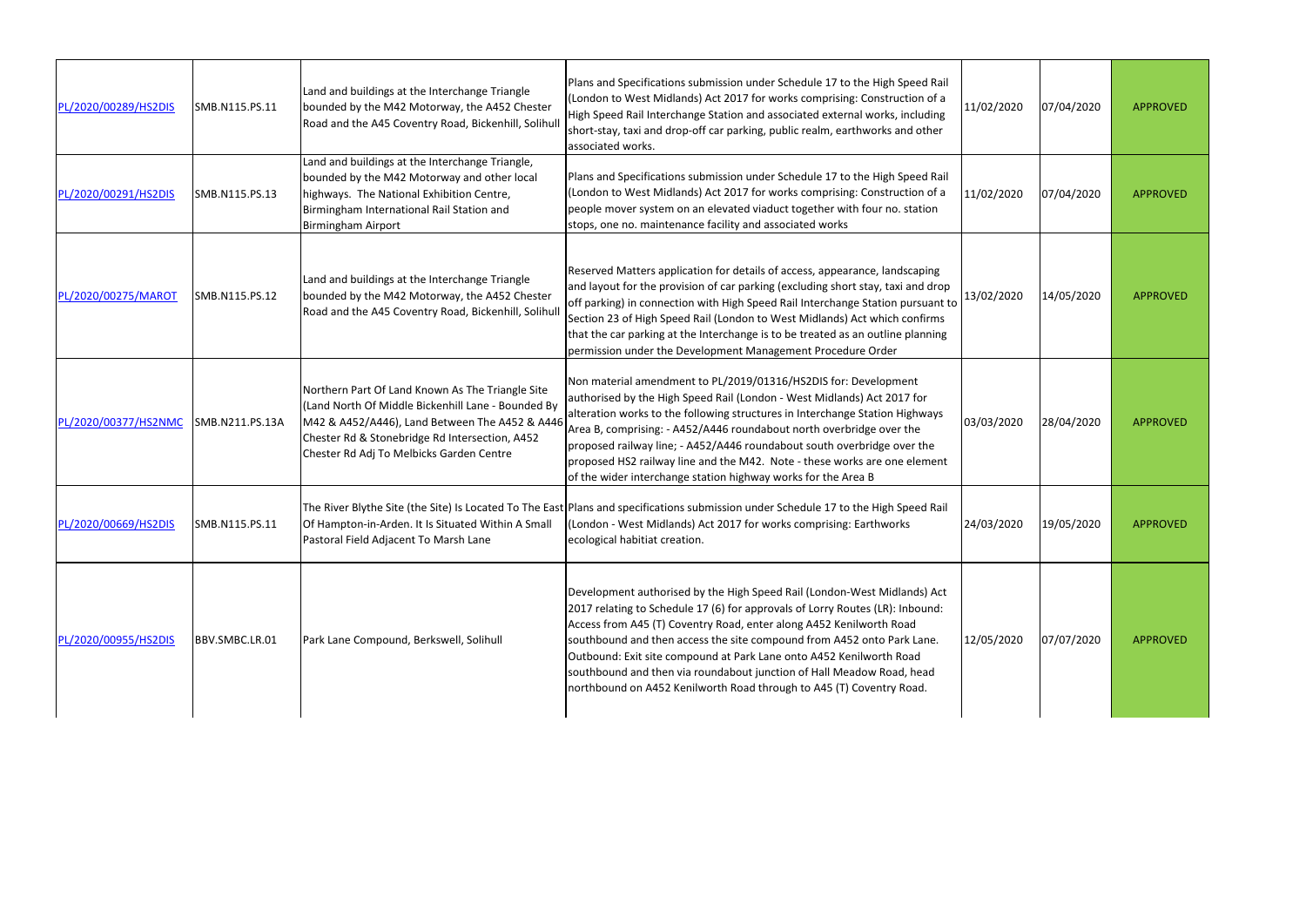| PL/2020/00289/HS2DIS | SMB.N115.PS.11  | Land and buildings at the Interchange Triangle<br>bounded by the M42 Motorway, the A452 Chester<br>Road and the A45 Coventry Road, Bickenhill, Solihull                                                                                                | Plans and Specifications submission under Schedule 17 to the High Speed Rail<br>(London to West Midlands) Act 2017 for works comprising: Construction of a<br>High Speed Rail Interchange Station and associated external works, including<br>short-stay, taxi and drop-off car parking, public realm, earthworks and other<br>associated works.                                                                                                                                                                                   | 11/02/2020 | 07/04/2020 | <b>APPROVED</b> |
|----------------------|-----------------|--------------------------------------------------------------------------------------------------------------------------------------------------------------------------------------------------------------------------------------------------------|------------------------------------------------------------------------------------------------------------------------------------------------------------------------------------------------------------------------------------------------------------------------------------------------------------------------------------------------------------------------------------------------------------------------------------------------------------------------------------------------------------------------------------|------------|------------|-----------------|
| PL/2020/00291/HS2DIS | SMB.N115.PS.13  | Land and buildings at the Interchange Triangle,<br>bounded by the M42 Motorway and other local<br>highways. The National Exhibition Centre,<br>Birmingham International Rail Station and<br>Birmingham Airport                                         | Plans and Specifications submission under Schedule 17 to the High Speed Rail<br>(London to West Midlands) Act 2017 for works comprising: Construction of a<br>people mover system on an elevated viaduct together with four no. station<br>stops, one no. maintenance facility and associated works                                                                                                                                                                                                                                | 11/02/2020 | 07/04/2020 | <b>APPROVED</b> |
| PL/2020/00275/MAROT  | SMB.N115.PS.12  | Land and buildings at the Interchange Triangle<br>bounded by the M42 Motorway, the A452 Chester<br>Road and the A45 Coventry Road, Bickenhill, Solihull                                                                                                | Reserved Matters application for details of access, appearance, landscaping<br>and layout for the provision of car parking (excluding short stay, taxi and drop<br>off parking) in connection with High Speed Rail Interchange Station pursuant to<br>Section 23 of High Speed Rail (London to West Midlands) Act which confirms<br>that the car parking at the Interchange is to be treated as an outline planning<br>permission under the Development Management Procedure Order                                                 | 13/02/2020 | 14/05/2020 | <b>APPROVED</b> |
| PL/2020/00377/HS2NMC | SMB.N211.PS.13A | Northern Part Of Land Known As The Triangle Site<br>(Land North Of Middle Bickenhill Lane - Bounded By<br>M42 & A452/A446), Land Between The A452 & A446<br>Chester Rd & Stonebridge Rd Intersection, A452<br>Chester Rd Adj To Melbicks Garden Centre | Non material amendment to PL/2019/01316/HS2DIS for: Development<br>authorised by the High Speed Rail (London - West Midlands) Act 2017 for<br>alteration works to the following structures in Interchange Station Highways<br>Area B, comprising: - A452/A446 roundabout north overbridge over the<br>proposed railway line; - A452/A446 roundabout south overbridge over the<br>proposed HS2 railway line and the M42. Note - these works are one element<br>of the wider interchange station highway works for the Area B        | 03/03/2020 | 28/04/2020 | <b>APPROVED</b> |
| PL/2020/00669/HS2DIS | SMB.N115.PS.11  | Of Hampton-in-Arden. It Is Situated Within A Small<br>Pastoral Field Adjacent To Marsh Lane                                                                                                                                                            | The River Blythe Site (the Site) Is Located To The East Plans and specifications submission under Schedule 17 to the High Speed Rail<br>(London - West Midlands) Act 2017 for works comprising: Earthworks<br>ecological habitiat creation.                                                                                                                                                                                                                                                                                        | 24/03/2020 | 19/05/2020 | <b>APPROVED</b> |
| PL/2020/00955/HS2DIS | BBV.SMBC.LR.01  | Park Lane Compound, Berkswell, Solihull                                                                                                                                                                                                                | Development authorised by the High Speed Rail (London-West Midlands) Act<br>2017 relating to Schedule 17 (6) for approvals of Lorry Routes (LR): Inbound:<br>Access from A45 (T) Coventry Road, enter along A452 Kenilworth Road<br>southbound and then access the site compound from A452 onto Park Lane.<br>Outbound: Exit site compound at Park Lane onto A452 Kenilworth Road<br>southbound and then via roundabout junction of Hall Meadow Road, head<br>northbound on A452 Kenilworth Road through to A45 (T) Coventry Road. | 12/05/2020 | 07/07/2020 | APPROVED        |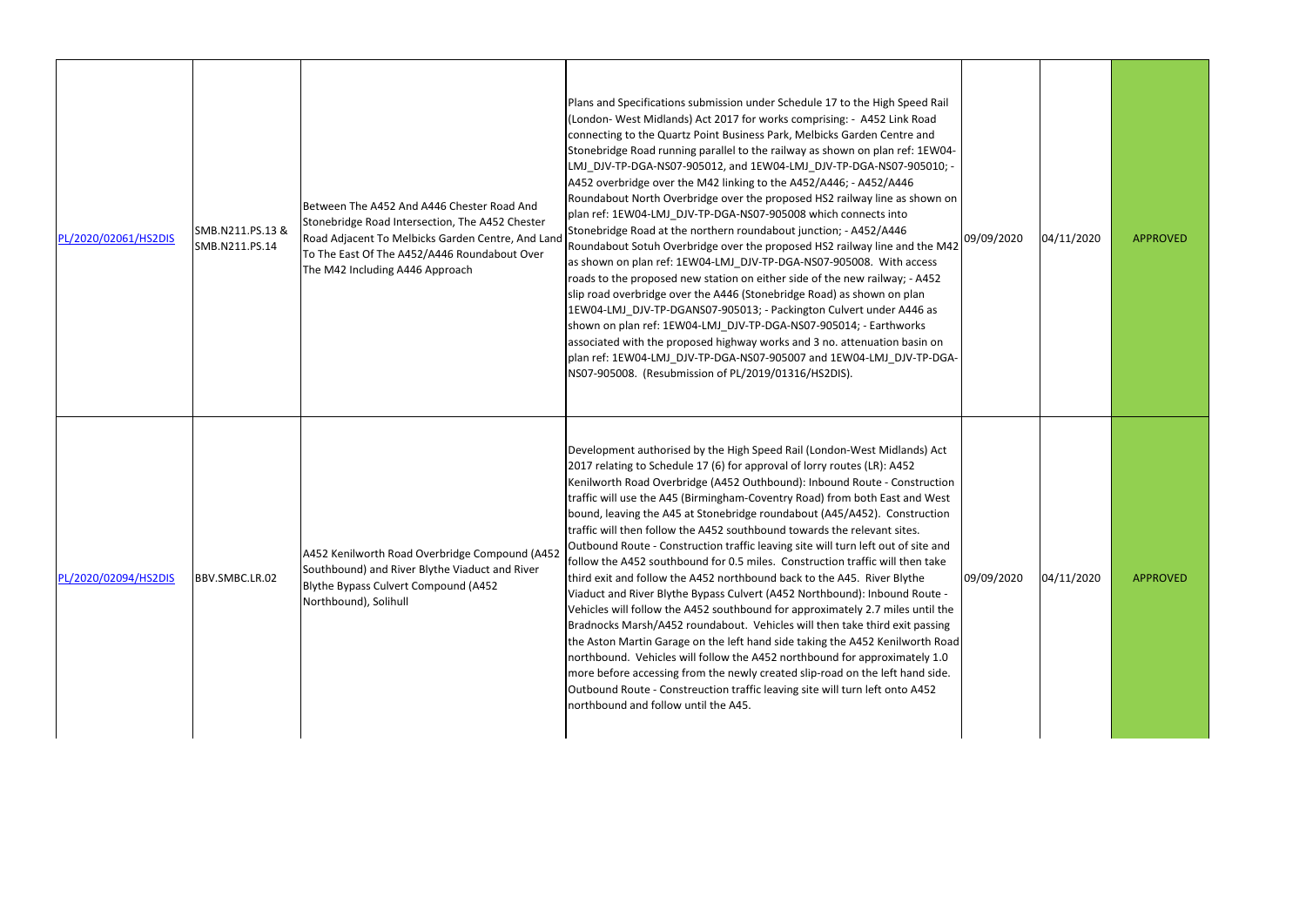| PL/2020/02061/HS2DIS | SMB.N211.PS.13 &<br>SMB.N211.PS.14 | Between The A452 And A446 Chester Road And<br>Stonebridge Road Intersection, The A452 Chester<br>Road Adjacent To Melbicks Garden Centre, And Land<br>To The East Of The A452/A446 Roundabout Over<br>The M42 Including A446 Approach | Plans and Specifications submission under Schedule 17 to the High Speed Rail<br>(London- West Midlands) Act 2017 for works comprising: - A452 Link Road<br>connecting to the Quartz Point Business Park, Melbicks Garden Centre and<br>Stonebridge Road running parallel to the railway as shown on plan ref: 1EW04-<br>LMJ_DJV-TP-DGA-NS07-905012, and 1EW04-LMJ_DJV-TP-DGA-NS07-905010; -<br>A452 overbridge over the M42 linking to the A452/A446; - A452/A446<br>Roundabout North Overbridge over the proposed HS2 railway line as shown on<br>plan ref: 1EW04-LMJ DJV-TP-DGA-NS07-905008 which connects into<br>Stonebridge Road at the northern roundabout junction; - A452/A446<br>Roundabout Sotuh Overbridge over the proposed HS2 railway line and the M42<br>as shown on plan ref: 1EW04-LMJ_DJV-TP-DGA-NS07-905008. With access<br>roads to the proposed new station on either side of the new railway; - A452<br>slip road overbridge over the A446 (Stonebridge Road) as shown on plan<br>1EW04-LMJ_DJV-TP-DGANS07-905013; - Packington Culvert under A446 as<br>shown on plan ref: 1EW04-LMJ_DJV-TP-DGA-NS07-905014; - Earthworks<br>associated with the proposed highway works and 3 no. attenuation basin on<br>plan ref: 1EW04-LMJ_DJV-TP-DGA-NS07-905007 and 1EW04-LMJ_DJV-TP-DGA-<br>NS07-905008. (Resubmission of PL/2019/01316/HS2DIS). | 09/09/2020 | 04/11/2020 | <b>APPROVED</b> |
|----------------------|------------------------------------|---------------------------------------------------------------------------------------------------------------------------------------------------------------------------------------------------------------------------------------|---------------------------------------------------------------------------------------------------------------------------------------------------------------------------------------------------------------------------------------------------------------------------------------------------------------------------------------------------------------------------------------------------------------------------------------------------------------------------------------------------------------------------------------------------------------------------------------------------------------------------------------------------------------------------------------------------------------------------------------------------------------------------------------------------------------------------------------------------------------------------------------------------------------------------------------------------------------------------------------------------------------------------------------------------------------------------------------------------------------------------------------------------------------------------------------------------------------------------------------------------------------------------------------------------------------------------------------------------------------|------------|------------|-----------------|
| PL/2020/02094/HS2DIS | BBV.SMBC.LR.02                     | A452 Kenilworth Road Overbridge Compound (A452<br>Southbound) and River Blythe Viaduct and River<br>Blythe Bypass Culvert Compound (A452<br>Northbound), Solihull                                                                     | Development authorised by the High Speed Rail (London-West Midlands) Act<br>2017 relating to Schedule 17 (6) for approval of lorry routes (LR): A452<br>Kenilworth Road Overbridge (A452 Outhbound): Inbound Route - Construction<br>traffic will use the A45 (Birmingham-Coventry Road) from both East and West<br>bound, leaving the A45 at Stonebridge roundabout (A45/A452). Construction<br>traffic will then follow the A452 southbound towards the relevant sites.<br>Outbound Route - Construction traffic leaving site will turn left out of site and<br>follow the A452 southbound for 0.5 miles. Construction traffic will then take<br>third exit and follow the A452 northbound back to the A45. River Blythe<br>Viaduct and River Blythe Bypass Culvert (A452 Northbound): Inbound Route -<br>Vehicles will follow the A452 southbound for approximately 2.7 miles until the<br>Bradnocks Marsh/A452 roundabout. Vehicles will then take third exit passing<br>the Aston Martin Garage on the left hand side taking the A452 Kenilworth Road<br>northbound. Vehicles will follow the A452 northbound for approximately 1.0<br>more before accessing from the newly created slip-road on the left hand side.<br>Outbound Route - Constreuction traffic leaving site will turn left onto A452<br>northbound and follow until the A45.             | 09/09/2020 | 04/11/2020 | <b>APPROVED</b> |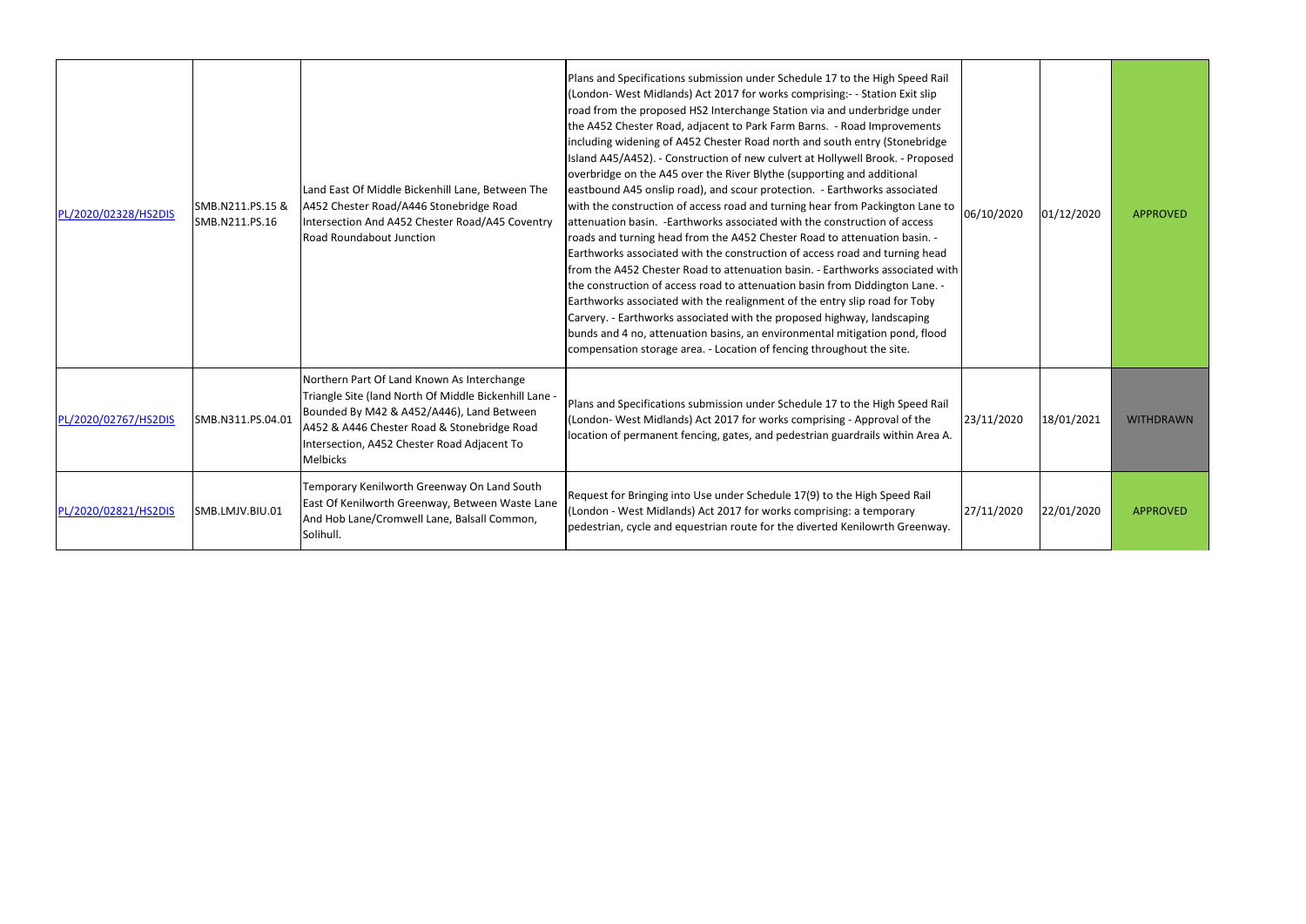| PL/2020/02328/HS2DIS | SMB.N211.PS.15 &<br>SMB.N211.PS.16 | Land East Of Middle Bickenhill Lane, Between The<br>A452 Chester Road/A446 Stonebridge Road<br>Intersection And A452 Chester Road/A45 Coventry<br><b>Road Roundabout Junction</b>                                                                                 | Plans and Specifications submission under Schedule 17 to the High Speed Rail<br>(London- West Midlands) Act 2017 for works comprising:- - Station Exit slip<br>road from the proposed HS2 Interchange Station via and underbridge under<br>the A452 Chester Road, adjacent to Park Farm Barns. - Road Improvements<br>including widening of A452 Chester Road north and south entry (Stonebridge<br>Island A45/A452). - Construction of new culvert at Hollywell Brook. - Proposed<br>overbridge on the A45 over the River Blythe (supporting and additional<br>eastbound A45 onslip road), and scour protection. - Earthworks associated<br>with the construction of access road and turning hear from Packington Lane to<br>attenuation basin. - Earthworks associated with the construction of access<br>roads and turning head from the A452 Chester Road to attenuation basin. -<br>Earthworks associated with the construction of access road and turning head<br>from the A452 Chester Road to attenuation basin. - Earthworks associated with<br>the construction of access road to attenuation basin from Diddington Lane. -<br>Earthworks associated with the realignment of the entry slip road for Toby<br>Carvery. - Earthworks associated with the proposed highway, landscaping<br>bunds and 4 no, attenuation basins, an environmental mitigation pond, flood<br>compensation storage area. - Location of fencing throughout the site. | 06/10/2020 | 01/12/2020 | <b>APPROVED</b>  |
|----------------------|------------------------------------|-------------------------------------------------------------------------------------------------------------------------------------------------------------------------------------------------------------------------------------------------------------------|--------------------------------------------------------------------------------------------------------------------------------------------------------------------------------------------------------------------------------------------------------------------------------------------------------------------------------------------------------------------------------------------------------------------------------------------------------------------------------------------------------------------------------------------------------------------------------------------------------------------------------------------------------------------------------------------------------------------------------------------------------------------------------------------------------------------------------------------------------------------------------------------------------------------------------------------------------------------------------------------------------------------------------------------------------------------------------------------------------------------------------------------------------------------------------------------------------------------------------------------------------------------------------------------------------------------------------------------------------------------------------------------------------------------------------------------------------|------------|------------|------------------|
| PL/2020/02767/HS2DIS | SMB.N311.PS.04.01                  | Northern Part Of Land Known As Interchange<br>Triangle Site (land North Of Middle Bickenhill Lane -<br>Bounded By M42 & A452/A446), Land Between<br>A452 & A446 Chester Road & Stonebridge Road<br>Intersection, A452 Chester Road Adjacent To<br><b>Melbicks</b> | Plans and Specifications submission under Schedule 17 to the High Speed Rail<br>(London- West Midlands) Act 2017 for works comprising - Approval of the<br>location of permanent fencing, gates, and pedestrian guardrails within Area A.                                                                                                                                                                                                                                                                                                                                                                                                                                                                                                                                                                                                                                                                                                                                                                                                                                                                                                                                                                                                                                                                                                                                                                                                              | 23/11/2020 | 18/01/2021 | <b>WITHDRAWN</b> |
| PL/2020/02821/HS2DIS | SMB.LMJV.BIU.01                    | Temporary Kenilworth Greenway On Land South<br>East Of Kenilworth Greenway, Between Waste Lane<br>And Hob Lane/Cromwell Lane, Balsall Common,<br>Solihull.                                                                                                        | Request for Bringing into Use under Schedule 17(9) to the High Speed Rail<br>(London - West Midlands) Act 2017 for works comprising: a temporary<br>pedestrian, cycle and equestrian route for the diverted Kenilowrth Greenway.                                                                                                                                                                                                                                                                                                                                                                                                                                                                                                                                                                                                                                                                                                                                                                                                                                                                                                                                                                                                                                                                                                                                                                                                                       | 27/11/2020 | 22/01/2020 | <b>APPROVED</b>  |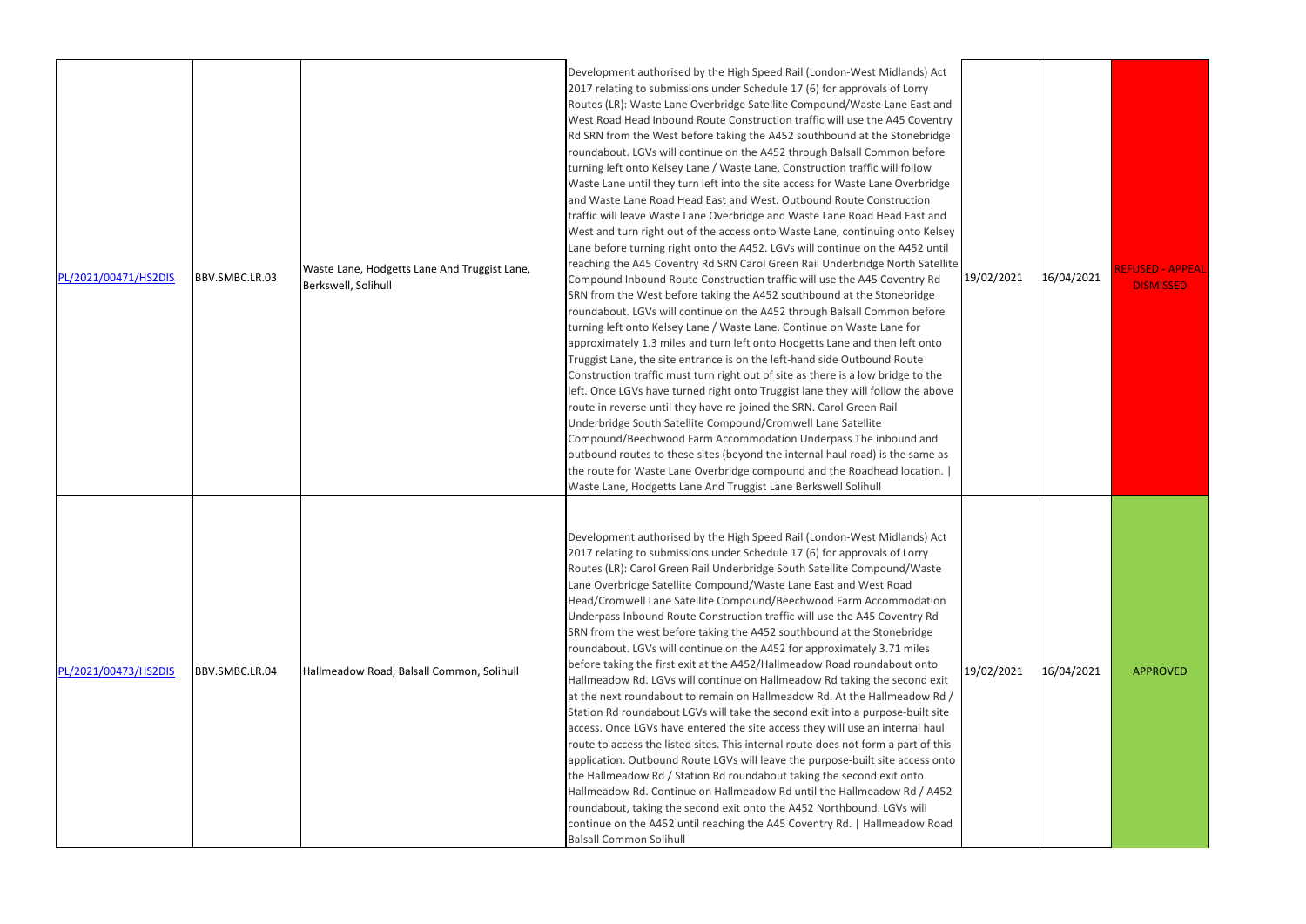| PL/2021/00471/HS2DIS | BBV.SMBC.LR.03 | Waste Lane, Hodgetts Lane And Truggist Lane,<br>Berkswell, Solihull | Development authorised by the High Speed Rail (London-West Midlands) Act<br>2017 relating to submissions under Schedule 17 (6) for approvals of Lorry<br>Routes (LR): Waste Lane Overbridge Satellite Compound/Waste Lane East and<br>West Road Head Inbound Route Construction traffic will use the A45 Coventry<br>Rd SRN from the West before taking the A452 southbound at the Stonebridge<br>roundabout. LGVs will continue on the A452 through Balsall Common before<br>turning left onto Kelsey Lane / Waste Lane. Construction traffic will follow<br>Waste Lane until they turn left into the site access for Waste Lane Overbridge<br>and Waste Lane Road Head East and West. Outbound Route Construction<br>traffic will leave Waste Lane Overbridge and Waste Lane Road Head East and<br>West and turn right out of the access onto Waste Lane, continuing onto Kelsey<br>Lane before turning right onto the A452. LGVs will continue on the A452 until<br>reaching the A45 Coventry Rd SRN Carol Green Rail Underbridge North Satellite<br>Compound Inbound Route Construction traffic will use the A45 Coventry Rd<br>SRN from the West before taking the A452 southbound at the Stonebridge<br>roundabout. LGVs will continue on the A452 through Balsall Common before<br>turning left onto Kelsey Lane / Waste Lane. Continue on Waste Lane for<br>approximately 1.3 miles and turn left onto Hodgetts Lane and then left onto<br>Truggist Lane, the site entrance is on the left-hand side Outbound Route<br>Construction traffic must turn right out of site as there is a low bridge to the<br>left. Once LGVs have turned right onto Truggist lane they will follow the above<br>route in reverse until they have re-joined the SRN. Carol Green Rail<br>Underbridge South Satellite Compound/Cromwell Lane Satellite<br>Compound/Beechwood Farm Accommodation Underpass The inbound and<br>outbound routes to these sites (beyond the internal haul road) is the same as<br>the route for Waste Lane Overbridge compound and the Roadhead location.<br>Waste Lane, Hodgetts Lane And Truggist Lane Berkswell Solihull | 19/02 |
|----------------------|----------------|---------------------------------------------------------------------|---------------------------------------------------------------------------------------------------------------------------------------------------------------------------------------------------------------------------------------------------------------------------------------------------------------------------------------------------------------------------------------------------------------------------------------------------------------------------------------------------------------------------------------------------------------------------------------------------------------------------------------------------------------------------------------------------------------------------------------------------------------------------------------------------------------------------------------------------------------------------------------------------------------------------------------------------------------------------------------------------------------------------------------------------------------------------------------------------------------------------------------------------------------------------------------------------------------------------------------------------------------------------------------------------------------------------------------------------------------------------------------------------------------------------------------------------------------------------------------------------------------------------------------------------------------------------------------------------------------------------------------------------------------------------------------------------------------------------------------------------------------------------------------------------------------------------------------------------------------------------------------------------------------------------------------------------------------------------------------------------------------------------------------------------------------------------------------------------------------------------------------------|-------|
| PL/2021/00473/HS2DIS | BBV.SMBC.LR.04 | Hallmeadow Road, Balsall Common, Solihull                           | Development authorised by the High Speed Rail (London-West Midlands) Act<br>2017 relating to submissions under Schedule 17 (6) for approvals of Lorry<br>Routes (LR): Carol Green Rail Underbridge South Satellite Compound/Waste<br>Lane Overbridge Satellite Compound/Waste Lane East and West Road<br>Head/Cromwell Lane Satellite Compound/Beechwood Farm Accommodation<br>Underpass Inbound Route Construction traffic will use the A45 Coventry Rd<br>SRN from the west before taking the A452 southbound at the Stonebridge<br>roundabout. LGVs will continue on the A452 for approximately 3.71 miles<br>before taking the first exit at the A452/Hallmeadow Road roundabout onto<br>Hallmeadow Rd. LGVs will continue on Hallmeadow Rd taking the second exit<br>at the next roundabout to remain on Hallmeadow Rd. At the Hallmeadow Rd /<br>Station Rd roundabout LGVs will take the second exit into a purpose-built site<br>access. Once LGVs have entered the site access they will use an internal haul<br>route to access the listed sites. This internal route does not form a part of this<br>application. Outbound Route LGVs will leave the purpose-built site access onto<br>the Hallmeadow Rd / Station Rd roundabout taking the second exit onto<br>Hallmeadow Rd. Continue on Hallmeadow Rd until the Hallmeadow Rd / A452<br>roundabout, taking the second exit onto the A452 Northbound. LGVs will<br>continue on the A452 until reaching the A45 Coventry Rd.   Hallmeadow Road<br><b>Balsall Common Solihull</b>                                                                                                                                                                                                                                                                                                                                                                                                                                                                                                                                                                                                | 19/02 |

| 2/2021 | 16/04/2021 | <b>REFUSED - APPEAL</b><br><b>DISMISSED</b> |
|--------|------------|---------------------------------------------|
| 2/2021 | 16/04/2021 | <b>APPROVED</b>                             |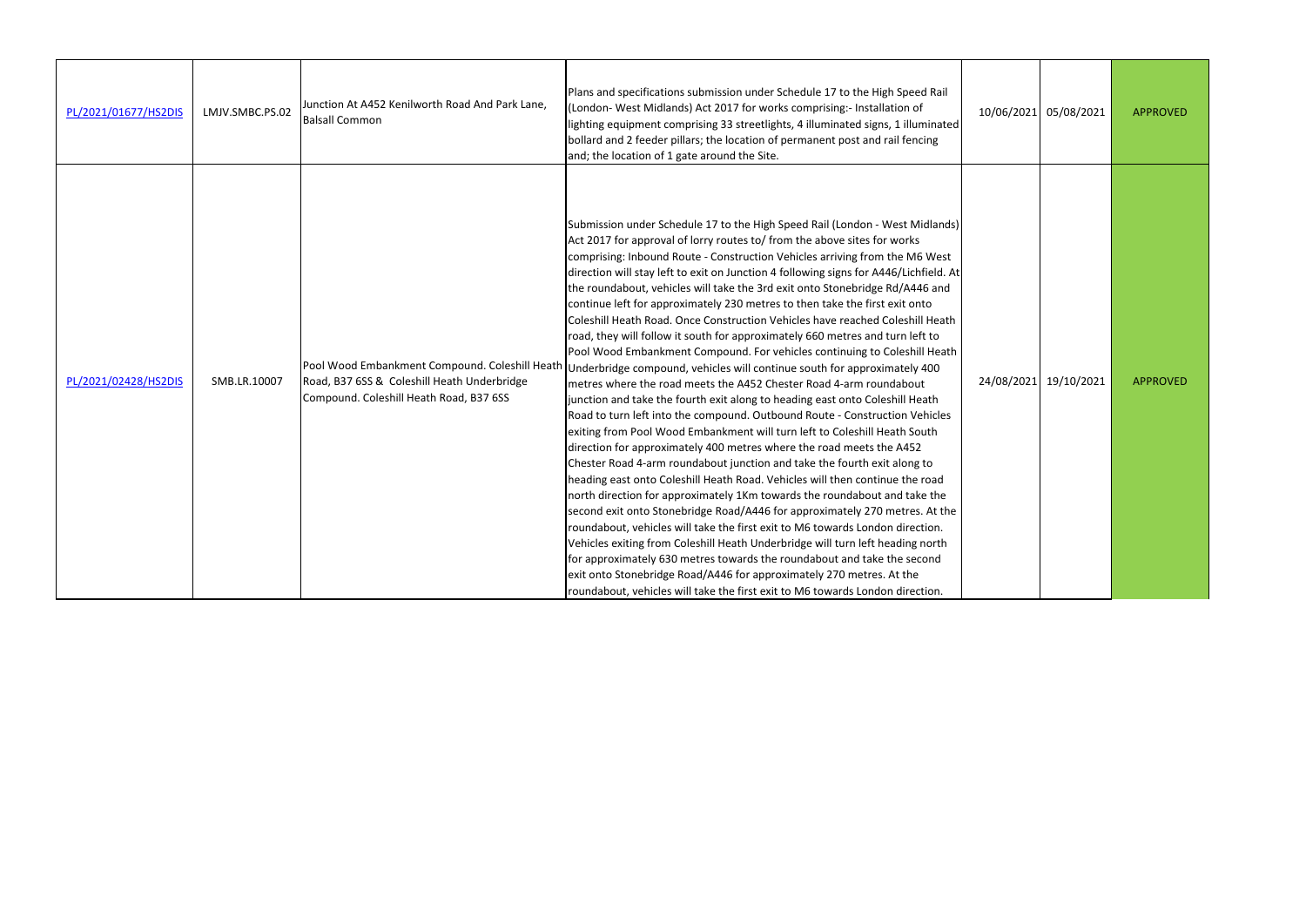| PL/2021/01677/HS2DIS | LMJV.SMBC.PS.02 | Junction At A452 Kenilworth Road And Park Lane,<br><b>Balsall Common</b>                                                                 | Plans and specifications submission under Schedule 17 to the High Speed Rail<br>(London-West Midlands) Act 2017 for works comprising:- Installation of<br>lighting equipment comprising 33 streetlights, 4 illuminated signs, 1 illuminated<br>bollard and 2 feeder pillars; the location of permanent post and rail fencing<br>and; the location of 1 gate around the Site.                                                                                                                                                                                                                                                                                                                                                                                                                                                                                                                                                                                                                                                                                                                                                                                                                                                                                                                                                                                                                                                                                                                                                                                                                                                                                                                                                                                                                                                                                                                                                                        |
|----------------------|-----------------|------------------------------------------------------------------------------------------------------------------------------------------|-----------------------------------------------------------------------------------------------------------------------------------------------------------------------------------------------------------------------------------------------------------------------------------------------------------------------------------------------------------------------------------------------------------------------------------------------------------------------------------------------------------------------------------------------------------------------------------------------------------------------------------------------------------------------------------------------------------------------------------------------------------------------------------------------------------------------------------------------------------------------------------------------------------------------------------------------------------------------------------------------------------------------------------------------------------------------------------------------------------------------------------------------------------------------------------------------------------------------------------------------------------------------------------------------------------------------------------------------------------------------------------------------------------------------------------------------------------------------------------------------------------------------------------------------------------------------------------------------------------------------------------------------------------------------------------------------------------------------------------------------------------------------------------------------------------------------------------------------------------------------------------------------------------------------------------------------------|
| PL/2021/02428/HS2DIS | SMB.LR.10007    | Pool Wood Embankment Compound. Coleshill Heath<br>Road, B37 6SS & Coleshill Heath Underbridge<br>Compound. Coleshill Heath Road, B37 6SS | Submission under Schedule 17 to the High Speed Rail (London - West Midlands)<br>Act 2017 for approval of lorry routes to/ from the above sites for works<br>comprising: Inbound Route - Construction Vehicles arriving from the M6 West<br>direction will stay left to exit on Junction 4 following signs for A446/Lichfield. At<br>the roundabout, vehicles will take the 3rd exit onto Stonebridge Rd/A446 and<br>continue left for approximately 230 metres to then take the first exit onto<br>Coleshill Heath Road. Once Construction Vehicles have reached Coleshill Heath<br>road, they will follow it south for approximately 660 metres and turn left to<br>Pool Wood Embankment Compound. For vehicles continuing to Coleshill Heath<br>Underbridge compound, vehicles will continue south for approximately 400<br>metres where the road meets the A452 Chester Road 4-arm roundabout<br>junction and take the fourth exit along to heading east onto Coleshill Heath<br>Road to turn left into the compound. Outbound Route - Construction Vehicles<br>exiting from Pool Wood Embankment will turn left to Coleshill Heath South<br>direction for approximately 400 metres where the road meets the A452<br>Chester Road 4-arm roundabout junction and take the fourth exit along to<br>heading east onto Coleshill Heath Road. Vehicles will then continue the road<br>north direction for approximately 1Km towards the roundabout and take the<br>second exit onto Stonebridge Road/A446 for approximately 270 metres. At the<br>roundabout, vehicles will take the first exit to M6 towards London direction.<br>Vehicles exiting from Coleshill Heath Underbridge will turn left heading north<br>for approximately 630 metres towards the roundabout and take the second<br>exit onto Stonebridge Road/A446 for approximately 270 metres. At the<br>roundabout, vehicles will take the first exit to M6 towards London direction. |

|            | 10/06/2021 05/08/2021 | <b>APPROVED</b> |
|------------|-----------------------|-----------------|
| 24/08/2021 | 19/10/2021            | <b>APPROVED</b> |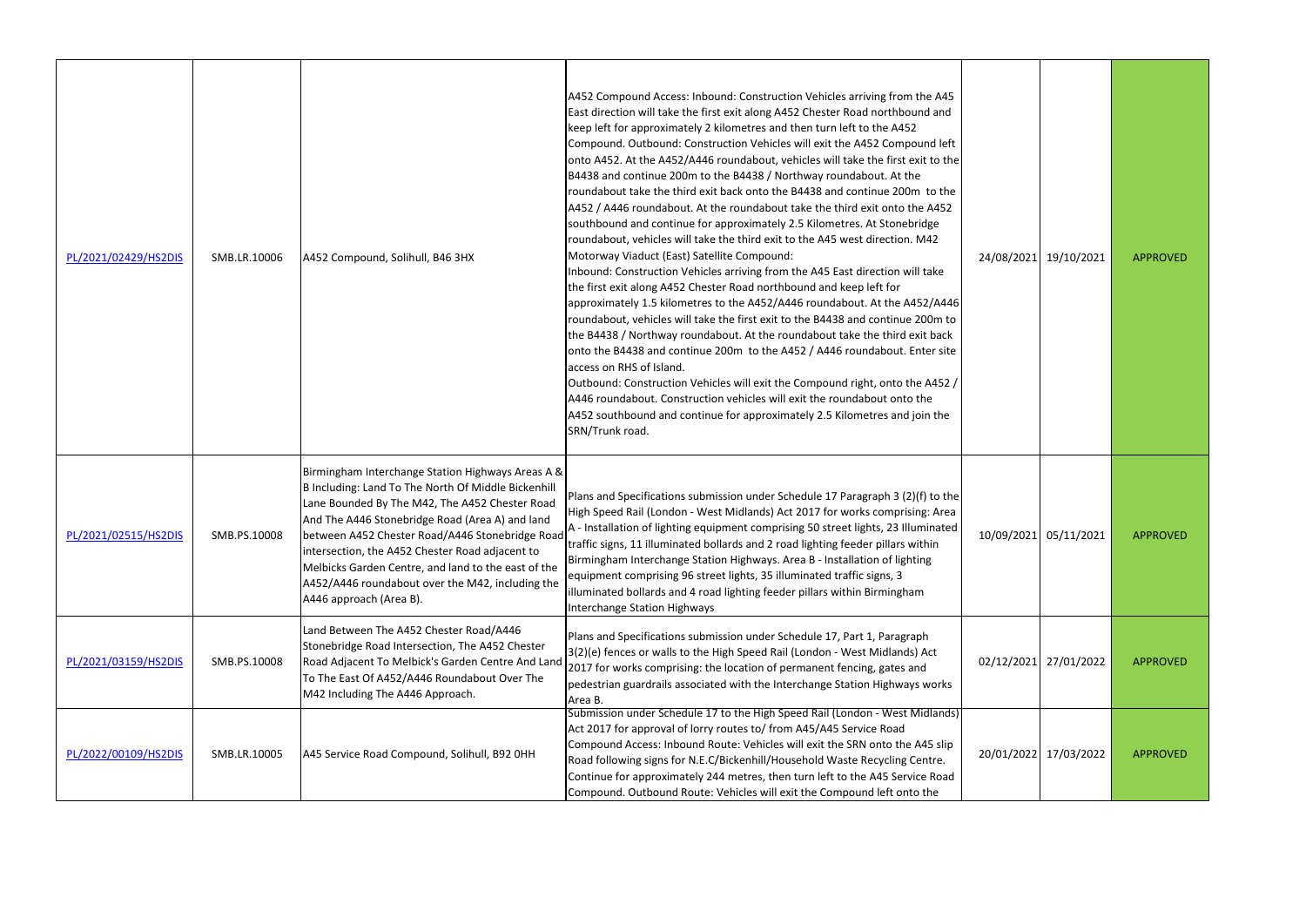| PL/2021/02429/HS2DIS | SMB.LR.10006 | A452 Compound, Solihull, B46 3HX                                                                                                                                                                                                                                                                                                                                                                                                                          | A452 Compound Access: Inbound: Construction Vehicles arriving from the A45<br>East direction will take the first exit along A452 Chester Road northbound and<br>keep left for approximately 2 kilometres and then turn left to the A452<br>Compound. Outbound: Construction Vehicles will exit the A452 Compound left<br>onto A452. At the A452/A446 roundabout, vehicles will take the first exit to the<br>B4438 and continue 200m to the B4438 / Northway roundabout. At the<br>roundabout take the third exit back onto the B4438 and continue 200m to the<br>A452 / A446 roundabout. At the roundabout take the third exit onto the A452<br>southbound and continue for approximately 2.5 Kilometres. At Stonebridge<br>roundabout, vehicles will take the third exit to the A45 west direction. M42<br>Motorway Viaduct (East) Satellite Compound:<br>Inbound: Construction Vehicles arriving from the A45 East direction will take<br>the first exit along A452 Chester Road northbound and keep left for<br>approximately 1.5 kilometres to the A452/A446 roundabout. At the A452/A446<br>roundabout, vehicles will take the first exit to the B4438 and continue 200m to<br>the B4438 / Northway roundabout. At the roundabout take the third exit back<br>onto the B4438 and continue 200m to the A452 / A446 roundabout. Enter site<br>access on RHS of Island.<br>Outbound: Construction Vehicles will exit the Compound right, onto the A452 /<br>A446 roundabout. Construction vehicles will exit the roundabout onto the<br>A452 southbound and continue for approximately 2.5 Kilometres and join the<br>SRN/Trunk road. | 24/08/2021 19/10/2021 | <b>APPROVED</b> |
|----------------------|--------------|-----------------------------------------------------------------------------------------------------------------------------------------------------------------------------------------------------------------------------------------------------------------------------------------------------------------------------------------------------------------------------------------------------------------------------------------------------------|------------------------------------------------------------------------------------------------------------------------------------------------------------------------------------------------------------------------------------------------------------------------------------------------------------------------------------------------------------------------------------------------------------------------------------------------------------------------------------------------------------------------------------------------------------------------------------------------------------------------------------------------------------------------------------------------------------------------------------------------------------------------------------------------------------------------------------------------------------------------------------------------------------------------------------------------------------------------------------------------------------------------------------------------------------------------------------------------------------------------------------------------------------------------------------------------------------------------------------------------------------------------------------------------------------------------------------------------------------------------------------------------------------------------------------------------------------------------------------------------------------------------------------------------------------------------------------------------------------------------------------------|-----------------------|-----------------|
| PL/2021/02515/HS2DIS | SMB.PS.10008 | Birmingham Interchange Station Highways Areas A &<br>B Including: Land To The North Of Middle Bickenhill<br>Lane Bounded By The M42, The A452 Chester Road<br>And The A446 Stonebridge Road (Area A) and land<br>between A452 Chester Road/A446 Stonebridge Road<br>intersection, the A452 Chester Road adjacent to<br>Melbicks Garden Centre, and land to the east of the<br>A452/A446 roundabout over the M42, including the<br>A446 approach (Area B). | Plans and Specifications submission under Schedule 17 Paragraph 3 (2)(f) to the<br>High Speed Rail (London - West Midlands) Act 2017 for works comprising: Area<br>A - Installation of lighting equipment comprising 50 street lights, 23 Illuminated<br>traffic signs, 11 illuminated bollards and 2 road lighting feeder pillars within<br>Birmingham Interchange Station Highways. Area B - Installation of lighting<br>equipment comprising 96 street lights, 35 illuminated traffic signs, 3<br>illuminated bollards and 4 road lighting feeder pillars within Birmingham<br>Interchange Station Highways                                                                                                                                                                                                                                                                                                                                                                                                                                                                                                                                                                                                                                                                                                                                                                                                                                                                                                                                                                                                                           | 10/09/2021 05/11/2021 | <b>APPROVED</b> |
| PL/2021/03159/HS2DIS | SMB.PS.10008 | Land Between The A452 Chester Road/A446<br>Stonebridge Road Intersection, The A452 Chester<br>Road Adjacent To Melbick's Garden Centre And Land<br>To The East Of A452/A446 Roundabout Over The<br>M42 Including The A446 Approach.                                                                                                                                                                                                                       | Plans and Specifications submission under Schedule 17, Part 1, Paragraph<br>3(2)(e) fences or walls to the High Speed Rail (London - West Midlands) Act<br>2017 for works comprising: the location of permanent fencing, gates and<br>pedestrian guardrails associated with the Interchange Station Highways works<br>Area B.                                                                                                                                                                                                                                                                                                                                                                                                                                                                                                                                                                                                                                                                                                                                                                                                                                                                                                                                                                                                                                                                                                                                                                                                                                                                                                            | 02/12/2021 27/01/2022 | <b>APPROVED</b> |
| PL/2022/00109/HS2DIS | SMB.LR.10005 | A45 Service Road Compound, Solihull, B92 OHH                                                                                                                                                                                                                                                                                                                                                                                                              | Submission under Schedule 17 to the High Speed Rail (London - West Midlands)<br>Act 2017 for approval of lorry routes to/ from A45/A45 Service Road<br>Compound Access: Inbound Route: Vehicles will exit the SRN onto the A45 slip<br>Road following signs for N.E.C/Bickenhill/Household Waste Recycling Centre.<br>Continue for approximately 244 metres, then turn left to the A45 Service Road<br>Compound. Outbound Route: Vehicles will exit the Compound left onto the                                                                                                                                                                                                                                                                                                                                                                                                                                                                                                                                                                                                                                                                                                                                                                                                                                                                                                                                                                                                                                                                                                                                                           | 20/01/2022 17/03/2022 | <b>APPROVED</b> |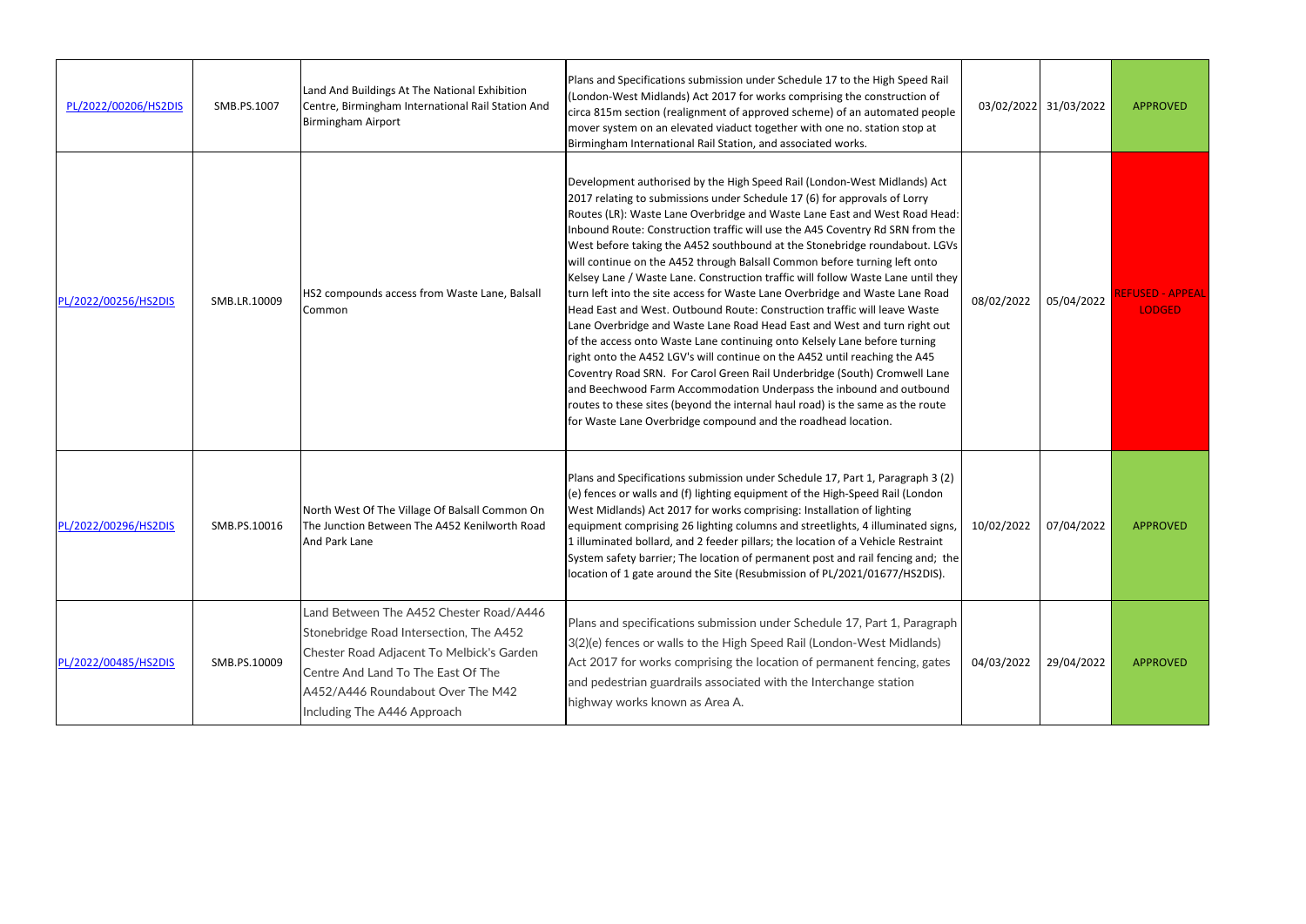| PL/2022/00206/HS2DIS | SMB.PS.1007  | Land And Buildings At The National Exhibition<br>Centre, Birmingham International Rail Station And<br>Birmingham Airport                                                                                                                  | Plans and Specifications submission under Schedule 17 to the High Speed Rail<br>(London-West Midlands) Act 2017 for works comprising the construction of<br>circa 815m section (realignment of approved scheme) of an automated people<br>mover system on an elevated viaduct together with one no. station stop at<br>Birmingham International Rail Station, and associated works.                                                                                                                                                                                                                                                                                                                                                                                                                                                                                                                                                                                                                                                                                                                                                                                                                                                                                             |            | 03/02/2022 31/03/2022 | <b>APPROVED</b>                         |
|----------------------|--------------|-------------------------------------------------------------------------------------------------------------------------------------------------------------------------------------------------------------------------------------------|---------------------------------------------------------------------------------------------------------------------------------------------------------------------------------------------------------------------------------------------------------------------------------------------------------------------------------------------------------------------------------------------------------------------------------------------------------------------------------------------------------------------------------------------------------------------------------------------------------------------------------------------------------------------------------------------------------------------------------------------------------------------------------------------------------------------------------------------------------------------------------------------------------------------------------------------------------------------------------------------------------------------------------------------------------------------------------------------------------------------------------------------------------------------------------------------------------------------------------------------------------------------------------|------------|-----------------------|-----------------------------------------|
| PL/2022/00256/HS2DIS | SMB.LR.10009 | HS2 compounds access from Waste Lane, Balsall<br><b>I</b> Common                                                                                                                                                                          | Development authorised by the High Speed Rail (London-West Midlands) Act<br>2017 relating to submissions under Schedule 17 (6) for approvals of Lorry<br>Routes (LR): Waste Lane Overbridge and Waste Lane East and West Road Head:<br>Inbound Route: Construction traffic will use the A45 Coventry Rd SRN from the<br>West before taking the A452 southbound at the Stonebridge roundabout. LGVs<br>will continue on the A452 through Balsall Common before turning left onto<br>Kelsey Lane / Waste Lane. Construction traffic will follow Waste Lane until they<br>turn left into the site access for Waste Lane Overbridge and Waste Lane Road<br>Head East and West. Outbound Route: Construction traffic will leave Waste<br>Lane Overbridge and Waste Lane Road Head East and West and turn right out<br>of the access onto Waste Lane continuing onto Kelsely Lane before turning<br>right onto the A452 LGV's will continue on the A452 until reaching the A45<br>Coventry Road SRN. For Carol Green Rail Underbridge (South) Cromwell Lane<br>and Beechwood Farm Accommodation Underpass the inbound and outbound<br>routes to these sites (beyond the internal haul road) is the same as the route<br>for Waste Lane Overbridge compound and the roadhead location. | 08/02/2022 | 05/04/2022            | <b>REFUSED - APPEA</b><br><b>LODGED</b> |
| PL/2022/00296/HS2DIS | SMB.PS.10016 | North West Of The Village Of Balsall Common On<br>The Junction Between The A452 Kenilworth Road<br>And Park Lane                                                                                                                          | Plans and Specifications submission under Schedule 17, Part 1, Paragraph 3 (2)<br>(e) fences or walls and (f) lighting equipment of the High-Speed Rail (London<br>West Midlands) Act 2017 for works comprising: Installation of lighting<br>equipment comprising 26 lighting columns and streetlights, 4 illuminated signs,<br>1 illuminated bollard, and 2 feeder pillars; the location of a Vehicle Restraint<br>System safety barrier; The location of permanent post and rail fencing and; the<br>location of 1 gate around the Site (Resubmission of PL/2021/01677/HS2DIS).                                                                                                                                                                                                                                                                                                                                                                                                                                                                                                                                                                                                                                                                                               | 10/02/2022 | 07/04/2022            | <b>APPROVED</b>                         |
| PL/2022/00485/HS2DIS | SMB.PS.10009 | Land Between The A452 Chester Road/A446<br>Stonebridge Road Intersection, The A452<br>Chester Road Adjacent To Melbick's Garden<br>Centre And Land To The East Of The<br>A452/A446 Roundabout Over The M42<br>Including The A446 Approach | Plans and specifications submission under Schedule 17, Part 1, Paragraph<br>3(2)(e) fences or walls to the High Speed Rail (London-West Midlands)<br>Act 2017 for works comprising the location of permanent fencing, gates<br>and pedestrian guardrails associated with the Interchange station<br>highway works known as Area A.                                                                                                                                                                                                                                                                                                                                                                                                                                                                                                                                                                                                                                                                                                                                                                                                                                                                                                                                              | 04/03/2022 | 29/04/2022            | <b>APPROVED</b>                         |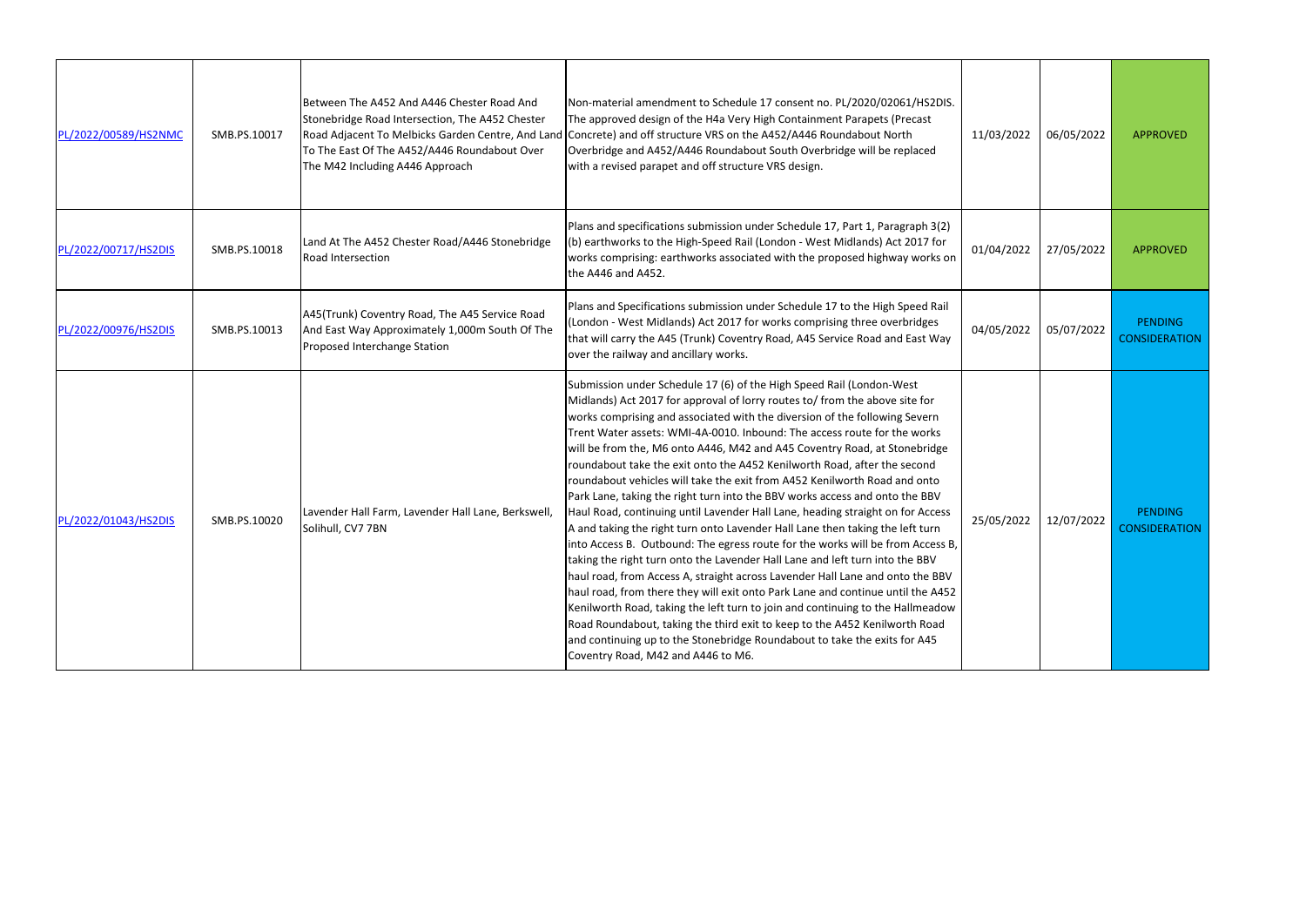| PL/2022/00589/HS2NMC | SMB.PS.10017 | Between The A452 And A446 Chester Road And<br>Stonebridge Road Intersection, The A452 Chester<br>To The East Of The A452/A446 Roundabout Over<br>The M42 Including A446 Approach | Non-material amendment to Schedule 17 consent no. PL/2020/02061/HS2DIS.<br>The approved design of the H4a Very High Containment Parapets (Precast<br>Road Adjacent To Melbicks Garden Centre, And Land Concrete) and off structure VRS on the A452/A446 Roundabout North<br>Overbridge and A452/A446 Roundabout South Overbridge will be replaced<br>with a revised parapet and off structure VRS design.                                                                                                                                                                                                                                                                                                                                                                                                                                                                                                                                                                                                                                                                                                                                                                                                                                                                                                                                                                                                                      | 11/03/2022 | 06/05/2022 | <b>APPROVED</b>                        |
|----------------------|--------------|----------------------------------------------------------------------------------------------------------------------------------------------------------------------------------|--------------------------------------------------------------------------------------------------------------------------------------------------------------------------------------------------------------------------------------------------------------------------------------------------------------------------------------------------------------------------------------------------------------------------------------------------------------------------------------------------------------------------------------------------------------------------------------------------------------------------------------------------------------------------------------------------------------------------------------------------------------------------------------------------------------------------------------------------------------------------------------------------------------------------------------------------------------------------------------------------------------------------------------------------------------------------------------------------------------------------------------------------------------------------------------------------------------------------------------------------------------------------------------------------------------------------------------------------------------------------------------------------------------------------------|------------|------------|----------------------------------------|
| PL/2022/00717/HS2DIS | SMB.PS.10018 | Land At The A452 Chester Road/A446 Stonebridge<br><b>Road Intersection</b>                                                                                                       | Plans and specifications submission under Schedule 17, Part 1, Paragraph 3(2)<br>(b) earthworks to the High-Speed Rail (London - West Midlands) Act 2017 for<br>works comprising: earthworks associated with the proposed highway works on<br>the A446 and A452.                                                                                                                                                                                                                                                                                                                                                                                                                                                                                                                                                                                                                                                                                                                                                                                                                                                                                                                                                                                                                                                                                                                                                               | 01/04/2022 | 27/05/2022 | <b>APPROVED</b>                        |
| PL/2022/00976/HS2DIS | SMB.PS.10013 | A45(Trunk) Coventry Road, The A45 Service Road<br>And East Way Approximately 1,000m South Of The<br>Proposed Interchange Station                                                 | Plans and Specifications submission under Schedule 17 to the High Speed Rail<br>(London - West Midlands) Act 2017 for works comprising three overbridges<br>that will carry the A45 (Trunk) Coventry Road, A45 Service Road and East Way<br>over the railway and ancillary works.                                                                                                                                                                                                                                                                                                                                                                                                                                                                                                                                                                                                                                                                                                                                                                                                                                                                                                                                                                                                                                                                                                                                              | 04/05/2022 | 05/07/2022 | <b>PENDING</b><br><b>CONSIDERATION</b> |
| PL/2022/01043/HS2DIS | SMB.PS.10020 | Lavender Hall Farm, Lavender Hall Lane, Berkswell,<br>Solihull, CV7 7BN                                                                                                          | Submission under Schedule 17 (6) of the High Speed Rail (London-West<br>Midlands) Act 2017 for approval of lorry routes to/ from the above site for<br>works comprising and associated with the diversion of the following Severn<br>Trent Water assets: WMI-4A-0010. Inbound: The access route for the works<br>will be from the, M6 onto A446, M42 and A45 Coventry Road, at Stonebridge<br>roundabout take the exit onto the A452 Kenilworth Road, after the second<br>roundabout vehicles will take the exit from A452 Kenilworth Road and onto<br>Park Lane, taking the right turn into the BBV works access and onto the BBV<br>Haul Road, continuing until Lavender Hall Lane, heading straight on for Access<br>A and taking the right turn onto Lavender Hall Lane then taking the left turn<br>into Access B. Outbound: The egress route for the works will be from Access B,<br>taking the right turn onto the Lavender Hall Lane and left turn into the BBV<br>haul road, from Access A, straight across Lavender Hall Lane and onto the BBV<br>haul road, from there they will exit onto Park Lane and continue until the A452<br>Kenilworth Road, taking the left turn to join and continuing to the Hallmeadow<br>Road Roundabout, taking the third exit to keep to the A452 Kenilworth Road<br>and continuing up to the Stonebridge Roundabout to take the exits for A45<br>Coventry Road, M42 and A446 to M6. | 25/05/2022 | 12/07/2022 | <b>PENDING</b><br><b>CONSIDERATION</b> |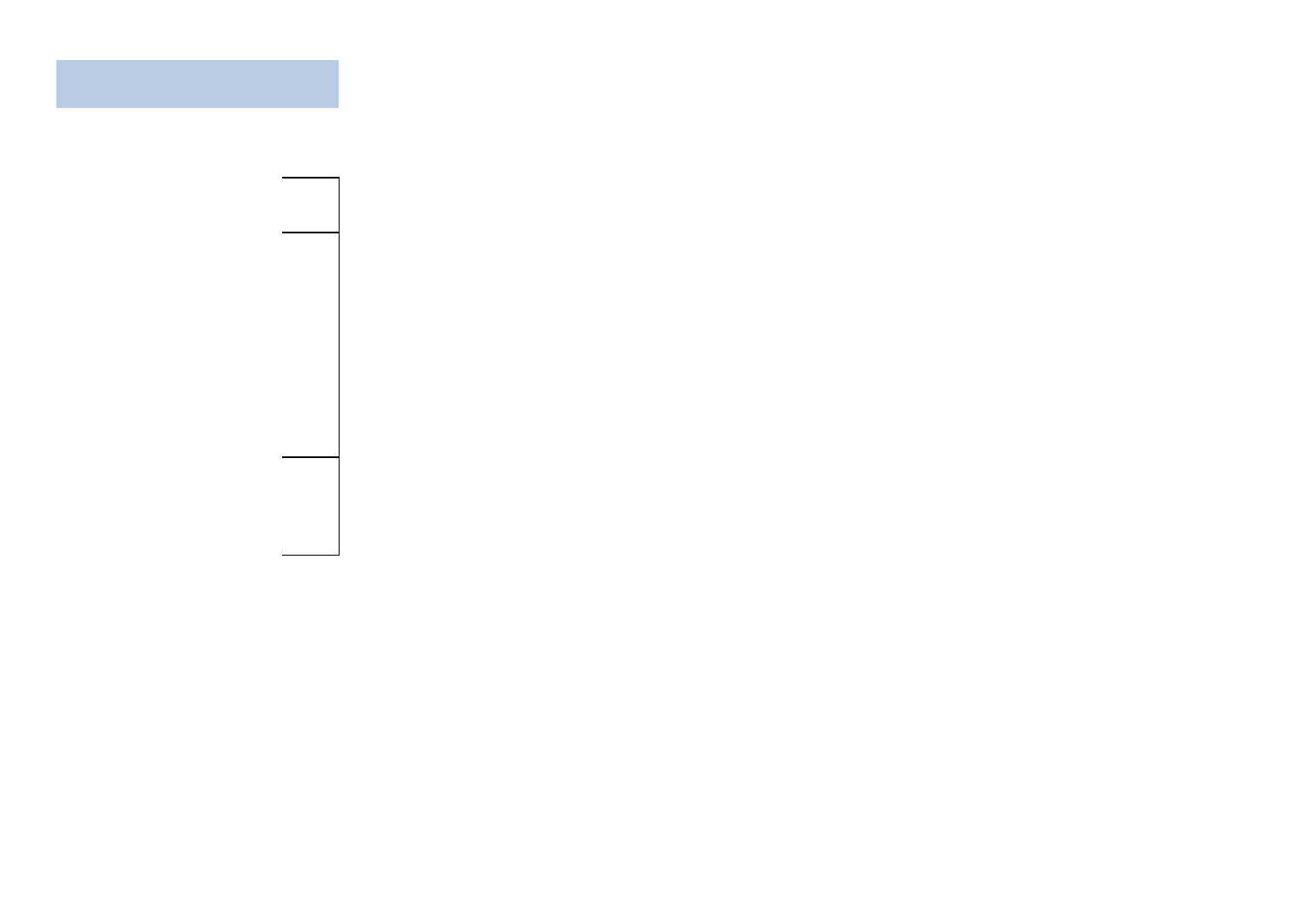